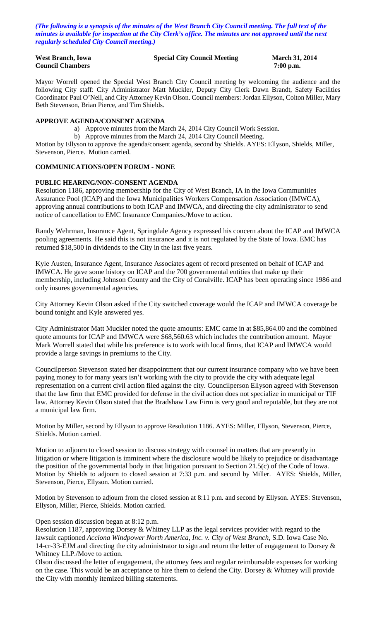*(The following is a synopsis of the minutes of the West Branch City Council meeting. The full text of the minutes is available for inspection at the City Clerk's office. The minutes are not approved until the next regularly scheduled City Council meeting.)*

| <b>West Branch, Iowa</b> | <b>Specia</b> |
|--------------------------|---------------|
| <b>Council Chambers</b>  |               |

#### **If City Council Meeting March 31, 2014**

7:00 p.m.

Mayor Worrell opened the Special West Branch City Council meeting by welcoming the audience and the following City staff: City Administrator Matt Muckler, Deputy City Clerk Dawn Brandt, Safety Facilities Coordinator Paul O'Neil, and City Attorney Kevin Olson. Council members: Jordan Ellyson, Colton Miller, Mary Beth Stevenson, Brian Pierce, and Tim Shields.

#### **APPROVE AGENDA/CONSENT AGENDA**

- a) Approve minutes from the March 24, 2014 City Council Work Session.
- b) Approve minutes from the March 24, 2014 City Council Meeting.

Motion by Ellyson to approve the agenda/consent agenda, second by Shields. AYES: Ellyson, Shields, Miller, Stevenson, Pierce. Motion carried.

## **COMMUNICATIONS/OPEN FORUM - NONE**

## **PUBLIC HEARING/NON-CONSENT AGENDA**

Resolution 1186, approving membership for the City of West Branch, IA in the Iowa Communities Assurance Pool (ICAP) and the Iowa Municipalities Workers Compensation Association (IMWCA), approving annual contributions to both ICAP and IMWCA, and directing the city administrator to send notice of cancellation to EMC Insurance Companies./Move to action.

Randy Wehrman, Insurance Agent, Springdale Agency expressed his concern about the ICAP and IMWCA pooling agreements. He said this is not insurance and it is not regulated by the State of Iowa. EMC has returned \$18,500 in dividends to the City in the last five years.

Kyle Austen, Insurance Agent, Insurance Associates agent of record presented on behalf of ICAP and IMWCA. He gave some history on ICAP and the 700 governmental entities that make up their membership, including Johnson County and the City of Coralville. ICAP has been operating since 1986 and only insures governmental agencies.

City Attorney Kevin Olson asked if the City switched coverage would the ICAP and IMWCA coverage be bound tonight and Kyle answered yes.

City Administrator Matt Muckler noted the quote amounts: EMC came in at \$85,864.00 and the combined quote amounts for ICAP and IMWCA were \$68,560.63 which includes the contribution amount. Mayor Mark Worrell stated that while his preference is to work with local firms, that ICAP and IMWCA would provide a large savings in premiums to the City.

Councilperson Stevenson stated her disappointment that our current insurance company who we have been paying money to for many years isn't working with the city to provide the city with adequate legal representation on a current civil action filed against the city. Councilperson Ellyson agreed with Stevenson that the law firm that EMC provided for defense in the civil action does not specialize in municipal or TIF law. Attorney Kevin Olson stated that the Bradshaw Law Firm is very good and reputable, but they are not a municipal law firm.

Motion by Miller, second by Ellyson to approve Resolution 1186. AYES: Miller, Ellyson, Stevenson, Pierce, Shields. Motion carried.

Motion to adjourn to closed session to discuss strategy with counsel in matters that are presently in litigation or where litigation is imminent where the disclosure would be likely to prejudice or disadvantage the position of the governmental body in that litigation pursuant to Section 21.5(c) of the Code of Iowa. Motion by Shields to adjourn to closed session at 7:33 p.m. and second by Miller. AYES: Shields, Miller, Stevenson, Pierce, Ellyson. Motion carried.

Motion by Stevenson to adjourn from the closed session at 8:11 p.m. and second by Ellyson. AYES: Stevenson, Ellyson, Miller, Pierce, Shields. Motion carried.

Open session discussion began at 8:12 p.m.

Resolution 1187, approving Dorsey & Whitney LLP as the legal services provider with regard to the lawsuit captioned *Acciona Windpower North America, Inc. v. City of West Branch,* S.D. Iowa Case No. 14-cr-33-EJM and directing the city administrator to sign and return the letter of engagement to Dorsey & Whitney LLP./Move to action.

Olson discussed the letter of engagement, the attorney fees and regular reimbursable expenses for working on the case. This would be an acceptance to hire them to defend the City. Dorsey & Whitney will provide the City with monthly itemized billing statements.